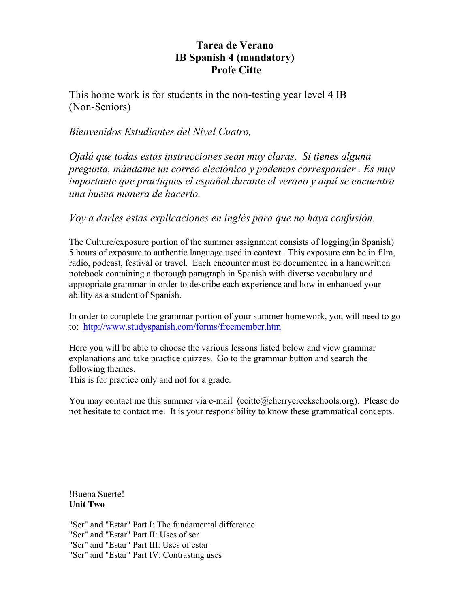# **Tarea de Verano IB Spanish 4 (mandatory) Profe Citte**

This home work is for students in the non-testing year level 4 IB (Non-Seniors)

# *Bienvenidos Estudiantes del Nivel Cuatro,*

*Ojalá que todas estas instrucciones sean muy claras. Si tienes alguna pregunta, mándame un correo electónico y podemos corresponder . Es muy importante que practiques el español durante el verano y aquí se encuentra una buena manera de hacerlo.*

*Voy a darles estas explicaciones en inglés para que no haya confusión.*

The Culture/exposure portion of the summer assignment consists of logging(in Spanish) 5 hours of exposure to authentic language used in context. This exposure can be in film, radio, podcast, festival or travel. Each encounter must be documented in a handwritten notebook containing a thorough paragraph in Spanish with diverse vocabulary and appropriate grammar in order to describe each experience and how in enhanced your ability as a student of Spanish.

In order to complete the grammar portion of your summer homework, you will need to go to: <http://www.studyspanish.com/forms/freemember.htm>

Here you will be able to choose the various lessons listed below and view grammar explanations and take practice quizzes. Go to the grammar button and search the following themes.

This is for practice only and not for a grade.

You may contact me this summer via e-mail (ccitte@cherrycreekschools.org). Please do not hesitate to contact me. It is your responsibility to know these grammatical concepts.

!Buena Suerte! **Unit Two**

["Ser" and "Estar" Part I: The fundamental difference](http://www.studyspanish.com/lessons/serest1.htm) ["Ser" and "Estar" Part II: Uses of ser](http://www.studyspanish.com/lessons/serest2.htm) ["Ser" and "Estar" Part III: Uses of estar](http://www.studyspanish.com/lessons/serest3.htm) ["Ser" and "Estar" Part IV: Contrasting uses](http://www.studyspanish.com/lessons/serest4.htm)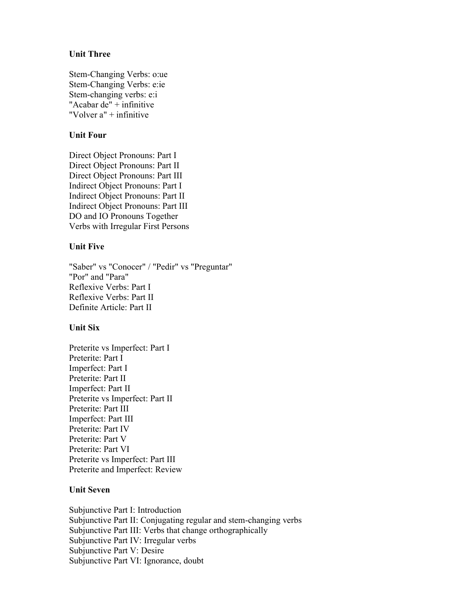#### **Unit Three**

Stem-Changing Verbs: o:ue Stem-Changing Verbs: e:ie Stem-changing verbs: e:i "Acabar de" + infinitive "Volver a" + infinitive

#### **Unit Four**

[Direct Object Pronouns: Part I](http://www.studyspanish.com/lessons/dopro1.htm) [Direct Object Pronouns: Part II](http://www.studyspanish.com/lessons/dopro2.htm) [Direct Object Pronouns: Part III](http://www.studyspanish.com/lessons/dopro3.htm) [Indirect Object Pronouns: Part](http://www.studyspanish.com/lessons/iopro1.htm) I [Indirect Object Pronouns: Part II](http://www.studyspanish.com/lessons/iopro2.htm) [Indirect Object Pronouns: Part III](http://www.studyspanish.com/lessons/iopro3.htm) [DO and IO Pronouns Together](http://www.studyspanish.com/lessons/iodopro.htm) [Verbs with Irregular First Persons](http://www.studyspanish.com/lessons/irregfirst.htm)

#### **Unit Five**

"Saber" vs "Conocer" / "Pedir" vs "Preguntar" "Por" and "Para" Reflexive Verbs: Part I Reflexive Verbs: Part II Definite Article: Part II

#### **Unit Six**

[Preterite vs Imperfect: Part I](http://www.studyspanish.com/lessons/pretimp1.htm) [Preterite: Part I](http://www.studyspanish.com/lessons/pret1.htm) [Imperfect: Part I](http://www.studyspanish.com/lessons/imp1.htm) [Preterite: Part II](http://www.studyspanish.com/lessons/pret2.htm) [Imperfect: Part II](http://www.studyspanish.com/lessons/imp2.htm) [Preterite vs Imperfect: Part II](http://www.studyspanish.com/lessons/pretimp2.htm) [Preterite: Part III](http://www.studyspanish.com/lessons/pret3.htm) [Imperfect: Part III](http://www.studyspanish.com/lessons/imp3.htm) [Preterite: Part IV](http://www.studyspanish.com/lessons/pret4.htm) [Preterite: Part V](http://www.studyspanish.com/lessons/pret5.htm) [Preterite: Part VI](http://www.studyspanish.com/lessons/pret6.htm) [Preterite vs Imperfect: Part III](http://www.studyspanish.com/lessons/pretimp3.htm) [Preterite and Imperfect: Review](http://www.studyspanish.com/lessons/pretimp4.htm)

#### **Unit Seven**

[Subjunctive Part I: Introduction](http://www.studyspanish.com/lessons/subj1.htm) [Subjunctive Part II: Conjugating regular and stem-changing verbs](http://www.studyspanish.com/lessons/subj2.htm) [Subjunctive Part III: Verbs that change orthographically](http://www.studyspanish.com/lessons/subj3.htm) [Subjunctive Part IV: Irregular verbs](http://www.studyspanish.com/lessons/subj4.htm) [Subjunctive Part V: Desire](http://www.studyspanish.com/lessons/subj5.htm) [Subjunctive Part VI: Ignorance, doubt](http://www.studyspanish.com/lessons/subj6.htm)